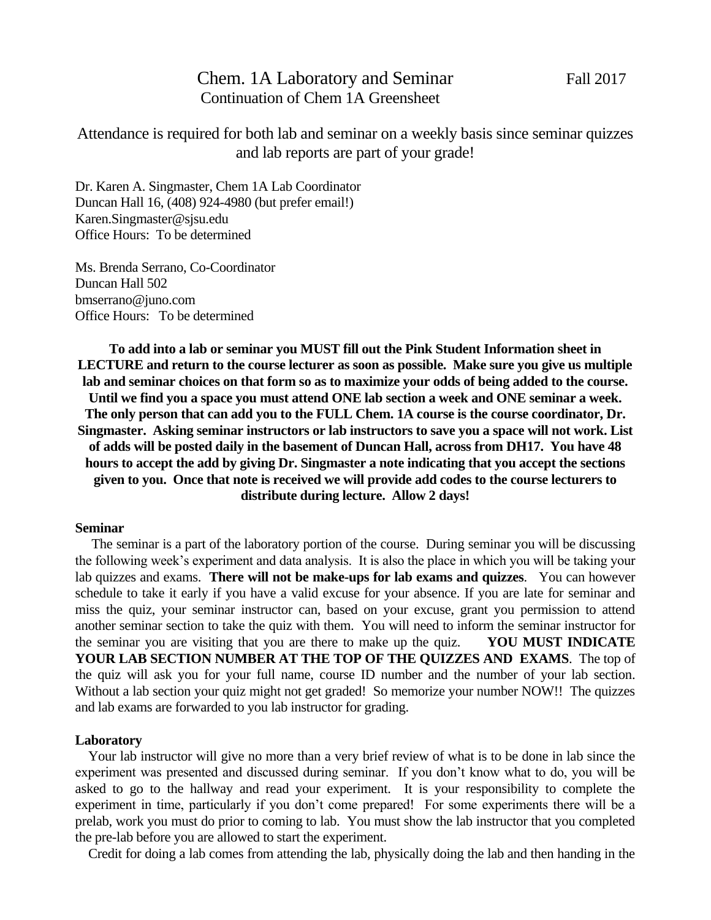# Chem. 1A Laboratory and Seminar Fall 2017 Continuation of Chem 1A Greensheet

Attendance is required for both lab and seminar on a weekly basis since seminar quizzes and lab reports are part of your grade!

Dr. Karen A. Singmaster, Chem 1A Lab Coordinator Duncan Hall 16, (408) 924-4980 (but prefer email!) [Karen.Singmaster@sjsu.edu](mailto:ksingmaster@jupiter.sjsu.edu) Office Hours: To be determined

Ms. Brenda Serrano, Co-Coordinator Duncan Hall 502 bmserrano@juno.com Office Hours: To be determined

**To add into a lab or seminar you MUST fill out the Pink Student Information sheet in LECTURE and return to the course lecturer as soon as possible. Make sure you give us multiple lab and seminar choices on that form so as to maximize your odds of being added to the course. Until we find you a space you must attend ONE lab section a week and ONE seminar a week. The only person that can add you to the FULL Chem. 1A course is the course coordinator, Dr. Singmaster. Asking seminar instructors or lab instructors to save you a space will not work. List of adds will be posted daily in the basement of Duncan Hall, across from DH17. You have 48 hours to accept the add by giving Dr. Singmaster a note indicating that you accept the sections given to you. Once that note is received we will provide add codes to the course lecturers to distribute during lecture. Allow 2 days!**

### **Seminar**

 The seminar is a part of the laboratory portion of the course. During seminar you will be discussing the following week's experiment and data analysis. It is also the place in which you will be taking your lab quizzes and exams. **There will not be make-ups for lab exams and quizzes**. You can however schedule to take it early if you have a valid excuse for your absence. If you are late for seminar and miss the quiz, your seminar instructor can, based on your excuse, grant you permission to attend another seminar section to take the quiz with them. You will need to inform the seminar instructor for the seminar you are visiting that you are there to make up the quiz. **YOU MUST INDICATE YOUR LAB SECTION NUMBER AT THE TOP OF THE QUIZZES AND EXAMS**. The top of the quiz will ask you for your full name, course ID number and the number of your lab section. Without a lab section your quiz might not get graded! So memorize your number NOW!! The quizzes and lab exams are forwarded to you lab instructor for grading.

# **Laboratory**

 Your lab instructor will give no more than a very brief review of what is to be done in lab since the experiment was presented and discussed during seminar. If you don't know what to do, you will be asked to go to the hallway and read your experiment. It is your responsibility to complete the experiment in time, particularly if you don't come prepared! For some experiments there will be a prelab, work you must do prior to coming to lab. You must show the lab instructor that you completed the pre-lab before you are allowed to start the experiment.

Credit for doing a lab comes from attending the lab, physically doing the lab and then handing in the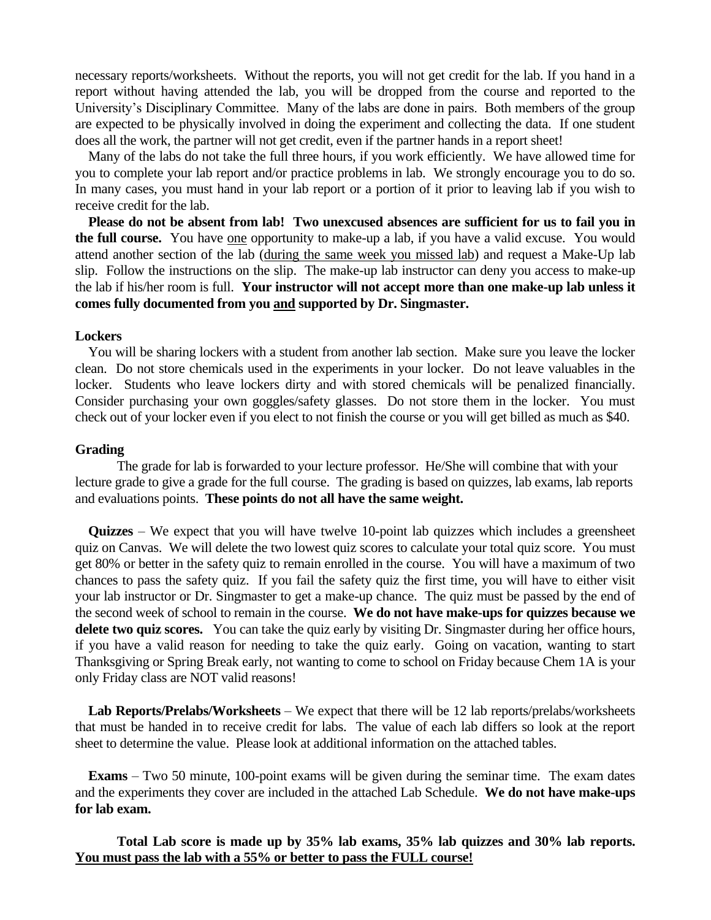necessary reports/worksheets. Without the reports, you will not get credit for the lab. If you hand in a report without having attended the lab, you will be dropped from the course and reported to the University's Disciplinary Committee. Many of the labs are done in pairs. Both members of the group are expected to be physically involved in doing the experiment and collecting the data. If one student does all the work, the partner will not get credit, even if the partner hands in a report sheet!

 Many of the labs do not take the full three hours, if you work efficiently. We have allowed time for you to complete your lab report and/or practice problems in lab. We strongly encourage you to do so. In many cases, you must hand in your lab report or a portion of it prior to leaving lab if you wish to receive credit for the lab.

 **Please do not be absent from lab! Two unexcused absences are sufficient for us to fail you in the full course.** You have one opportunity to make-up a lab, if you have a valid excuse. You would attend another section of the lab (during the same week you missed lab) and request a Make-Up lab slip. Follow the instructions on the slip. The make-up lab instructor can deny you access to make-up the lab if his/her room is full. **Your instructor will not accept more than one make-up lab unless it comes fully documented from you and supported by Dr. Singmaster.**

#### **Lockers**

 You will be sharing lockers with a student from another lab section. Make sure you leave the locker clean. Do not store chemicals used in the experiments in your locker. Do not leave valuables in the locker. Students who leave lockers dirty and with stored chemicals will be penalized financially. Consider purchasing your own goggles/safety glasses. Do not store them in the locker. You must check out of your locker even if you elect to not finish the course or you will get billed as much as \$40.

# **Grading**

The grade for lab is forwarded to your lecture professor. He/She will combine that with your lecture grade to give a grade for the full course. The grading is based on quizzes, lab exams, lab reports and evaluations points. **These points do not all have the same weight.** 

 **Quizzes** – We expect that you will have twelve 10-point lab quizzes which includes a greensheet quiz on Canvas. We will delete the two lowest quiz scores to calculate your total quiz score. You must get 80% or better in the safety quiz to remain enrolled in the course. You will have a maximum of two chances to pass the safety quiz. If you fail the safety quiz the first time, you will have to either visit your lab instructor or Dr. Singmaster to get a make-up chance. The quiz must be passed by the end of the second week of school to remain in the course. **We do not have make-ups for quizzes because we delete two quiz scores.** You can take the quiz early by visiting Dr. Singmaster during her office hours, if you have a valid reason for needing to take the quiz early. Going on vacation, wanting to start Thanksgiving or Spring Break early, not wanting to come to school on Friday because Chem 1A is your only Friday class are NOT valid reasons!

 **Lab Reports/Prelabs/Worksheets** – We expect that there will be 12 lab reports/prelabs/worksheets that must be handed in to receive credit for labs. The value of each lab differs so look at the report sheet to determine the value. Please look at additional information on the attached tables.

 **Exams** – Two 50 minute, 100-point exams will be given during the seminar time. The exam dates and the experiments they cover are included in the attached Lab Schedule. **We do not have make-ups for lab exam.**

**Total Lab score is made up by 35% lab exams, 35% lab quizzes and 30% lab reports. You must pass the lab with a 55% or better to pass the FULL course!**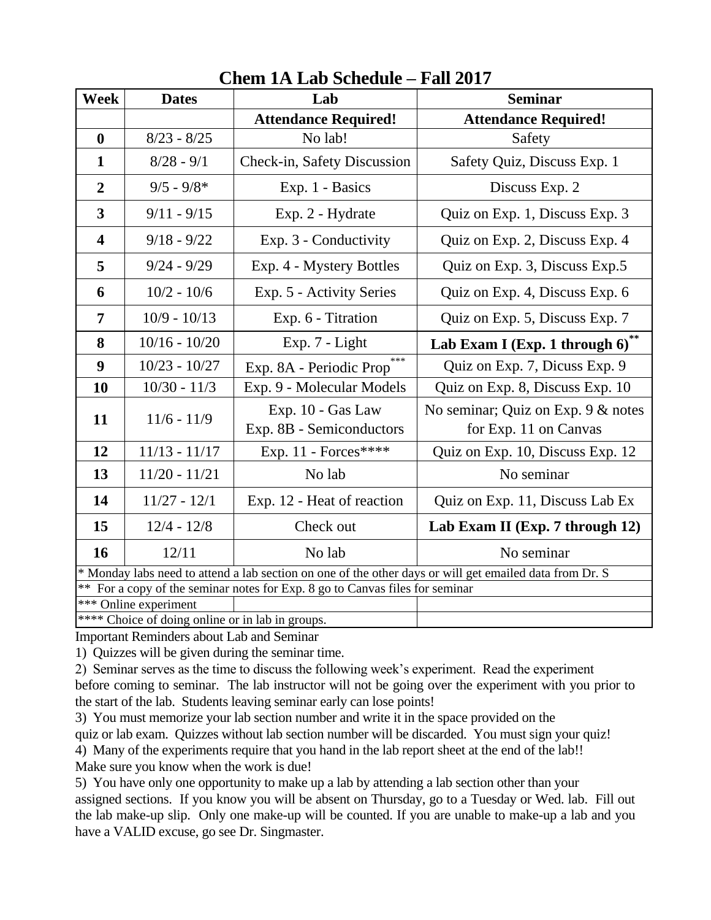| <b>Dates</b>                                                                                            | Lab                                           | <b>Seminar</b>                                              |  |
|---------------------------------------------------------------------------------------------------------|-----------------------------------------------|-------------------------------------------------------------|--|
|                                                                                                         | <b>Attendance Required!</b>                   | <b>Attendance Required!</b>                                 |  |
| $8/23 - 8/25$                                                                                           | No lab!                                       | Safety                                                      |  |
| $8/28 - 9/1$                                                                                            | Check-in, Safety Discussion                   | Safety Quiz, Discuss Exp. 1                                 |  |
| $9/5 - 9/8*$                                                                                            | Exp. 1 - Basics                               | Discuss Exp. 2                                              |  |
| $9/11 - 9/15$                                                                                           | Exp. 2 - Hydrate                              | Quiz on Exp. 1, Discuss Exp. 3                              |  |
| $9/18 - 9/22$                                                                                           | Exp. 3 - Conductivity                         | Quiz on Exp. 2, Discuss Exp. 4                              |  |
| $9/24 - 9/29$                                                                                           | Exp. 4 - Mystery Bottles                      | Quiz on Exp. 3, Discuss Exp. 5                              |  |
| $10/2 - 10/6$                                                                                           | Exp. 5 - Activity Series                      | Quiz on Exp. 4, Discuss Exp. 6                              |  |
| $10/9 - 10/13$                                                                                          | Exp. 6 - Titration                            | Quiz on Exp. 5, Discuss Exp. 7                              |  |
| $10/16 - 10/20$                                                                                         | Exp. 7 - Light                                | Lab Exam I (Exp. 1 through 6)**                             |  |
| $10/23 - 10/27$                                                                                         | ***<br>Exp. 8A - Periodic Prop                | Quiz on Exp. 7, Dicuss Exp. 9                               |  |
| $10/30 - 11/3$                                                                                          | Exp. 9 - Molecular Models                     | Quiz on Exp. 8, Discuss Exp. 10                             |  |
| $11/6 - 11/9$                                                                                           | Exp. 10 - Gas Law<br>Exp. 8B - Semiconductors | No seminar; Quiz on Exp. 9 & notes<br>for Exp. 11 on Canvas |  |
| $11/13 - 11/17$                                                                                         | Exp. 11 - Forces****                          | Quiz on Exp. 10, Discuss Exp. 12                            |  |
| $11/20 - 11/21$                                                                                         | No lab                                        | No seminar                                                  |  |
| $11/27 - 12/1$                                                                                          | Exp. 12 - Heat of reaction                    | Quiz on Exp. 11, Discuss Lab Ex                             |  |
| $12/4 - 12/8$                                                                                           | Check out                                     | Lab Exam II (Exp. 7 through 12)                             |  |
| 12/11                                                                                                   | No lab                                        | No seminar                                                  |  |
| * Monday labs need to attend a lab section on one of the other days or will get emailed data from Dr. S |                                               |                                                             |  |
| For a copy of the seminar notes for Exp. 8 go to Canvas files for seminar<br>$**$                       |                                               |                                                             |  |
|                                                                                                         |                                               |                                                             |  |
|                                                                                                         | *** Online experiment                         | **** Choice of doing online or in lab in groups.            |  |

# **Chem 1A Lab Schedule – Fall 2017**

Important Reminders about Lab and Seminar

1) Quizzes will be given during the seminar time.

2) Seminar serves as the time to discuss the following week's experiment. Read the experiment before coming to seminar. The lab instructor will not be going over the experiment with you prior to the start of the lab. Students leaving seminar early can lose points!

3) You must memorize your lab section number and write it in the space provided on the

quiz or lab exam. Quizzes without lab section number will be discarded. You must sign your quiz!

4) Many of the experiments require that you hand in the lab report sheet at the end of the lab!!

Make sure you know when the work is due!

5) You have only one opportunity to make up a lab by attending a lab section other than your assigned sections. If you know you will be absent on Thursday, go to a Tuesday or Wed. lab. Fill out the lab make-up slip. Only one make-up will be counted. If you are unable to make-up a lab and you have a VALID excuse, go see Dr. Singmaster.